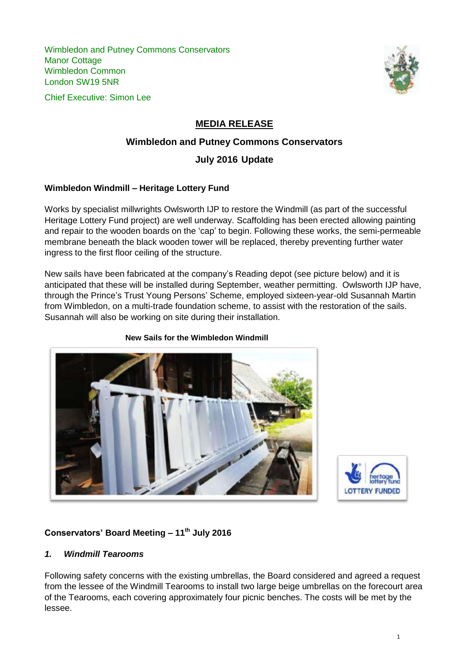Wimbledon and Putney Commons Conservators Manor Cottage Wimbledon Common London SW19 5NR





# **MEDIA RELEASE**

#### **Wimbledon and Putney Commons Conservators**

### **July 2016 Update**

#### **Wimbledon Windmill – Heritage Lottery Fund**

Works by specialist millwrights Owlsworth IJP to restore the Windmill (as part of the successful Heritage Lottery Fund project) are well underway. Scaffolding has been erected allowing painting and repair to the wooden boards on the 'cap' to begin. Following these works, the semi-permeable membrane beneath the black wooden tower will be replaced, thereby preventing further water ingress to the first floor ceiling of the structure.

New sails have been fabricated at the company's Reading depot (see picture below) and it is anticipated that these will be installed during September, weather permitting. Owlsworth IJP have, through the Prince's Trust Young Persons' Scheme, employed sixteen-year-old Susannah Martin from Wimbledon, on a multi-trade foundation scheme, to assist with the restoration of the sails. Susannah will also be working on site during their installation.



 **New Sails for the Wimbledon Windmill**



# **Conservators' Board Meeting – 11th July 2016**

#### *1. Windmill Tearooms*

Following safety concerns with the existing umbrellas, the Board considered and agreed a request from the lessee of the Windmill Tearooms to install two large beige umbrellas on the forecourt area of the Tearooms, each covering approximately four picnic benches. The costs will be met by the lessee.